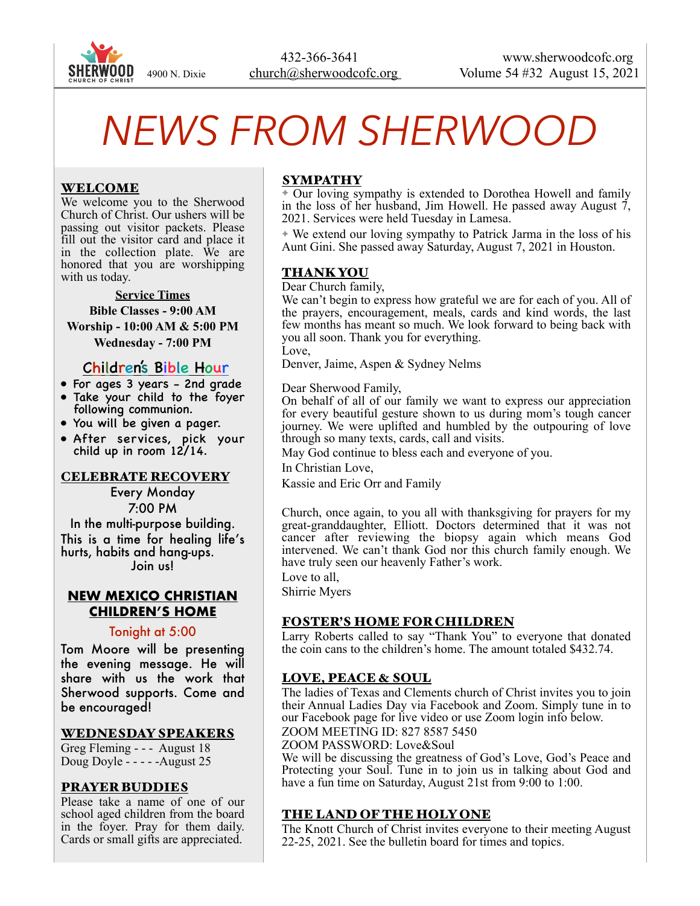

# *NEWS FROM SHERWOOD*

# WELCOME

We welcome you to the Sherwood Church of Christ. Our ushers will be passing out visitor packets. Please fill out the visitor card and place it in the collection plate. We are honored that you are worshipping with us today.

#### **Service Times**

**Bible Classes - 9:00 AM Worship - 10:00 AM & 5:00 PM Wednesday - 7:00 PM** 

# Children's Bible Hour

- For ages 3 years 2nd grade
- Take your child to the foyer following communion.
- You will be given a pager.
- After services, pick your child up in room 12/14.

#### CELEBRATE RECOVERY

Every Monday 7:00 PM

In the multi-purpose building. This is a time for healing life's hurts, habits and hang-ups. Join us!

#### **NEW MEXICO CHRISTIAN CHILDREN'S HOME**

#### Tonight at 5:00

Tom Moore will be presenting the evening message. He will share with us the work that Sherwood supports. Come and be encouraged!

#### WEDNESDAY SPEAKERS

Greg Fleming - - - August 18 Doug Doyle - - - - -August 25

#### PRAYER BUDDIES

Please take a name of one of our school aged children from the board in the foyer. Pray for them daily. Cards or small gifts are appreciated.

## SYMPATHY

✦ Our loving sympathy is extended to Dorothea Howell and family in the loss of her husband, Jim Howell. He passed away August 7, 2021. Services were held Tuesday in Lamesa.

✦ We extend our loving sympathy to Patrick Jarma in the loss of his Aunt Gini. She passed away Saturday, August 7, 2021 in Houston.

#### THANK YOU

Dear Church family,

We can't begin to express how grateful we are for each of you. All of the prayers, encouragement, meals, cards and kind words, the last few months has meant so much. We look forward to being back with you all soon. Thank you for everything.

Love,

Denver, Jaime, Aspen & Sydney Nelms

Dear Sherwood Family,

On behalf of all of our family we want to express our appreciation for every beautiful gesture shown to us during mom's tough cancer journey. We were uplifted and humbled by the outpouring of love through so many texts, cards, call and visits.

May God continue to bless each and everyone of you.

In Christian Love,

Kassie and Eric Orr and Family

Church, once again, to you all with thanksgiving for prayers for my great-granddaughter, Elliott. Doctors determined that it was not cancer after reviewing the biopsy again which means God intervened. We can't thank God nor this church family enough. We have truly seen our heavenly Father's work.

Love to all.

Shirrie Myers

#### FOSTER'S HOME FOR CHILDREN

Larry Roberts called to say "Thank You" to everyone that donated the coin cans to the children's home. The amount totaled \$432.74.

#### LOVE, PEACE & SOUL

The ladies of Texas and Clements church of Christ invites you to join their Annual Ladies Day via Facebook and Zoom. Simply tune in to our Facebook page for live video or use Zoom login info below. ZOOM MEETING ID: 827 8587 5450

ZOOM PASSWORD: Love&Soul

We will be discussing the greatness of God's Love, God's Peace and Protecting your Soul. Tune in to join us in talking about God and have a fun time on Saturday, August 21st from 9:00 to 1:00.

# THE LAND OF THE HOLY ONE

The Knott Church of Christ invites everyone to their meeting August 22-25, 2021. See the bulletin board for times and topics.